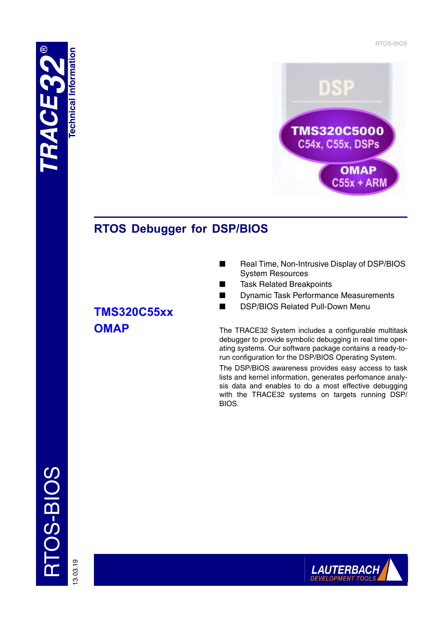RTOS-BIOS





# **RTOS Debugger for DSP/BIOS**

# **TMS320C55xx OMAP**

- Real Time, Non-Intrusive Display of DSP/BIOS System Resources
- Task Related Breakpoints
- Dynamic Task Performance Measurements
- DSP/BIOS Related Pull-Down Menu

The TRACE32 System includes a configurable multitask debugger to provide symbolic debugging in real time operating systems. Our software package contains a ready-torun configuration for the DSP/BIOS Operating System.

The DSP/BIOS awareness provides easy access to task lists and kernel information, generates perfomance analysis data and enables to do a most effective debugging with the TRACE32 systems on targets running DSP/ BIOS.

13.03.19

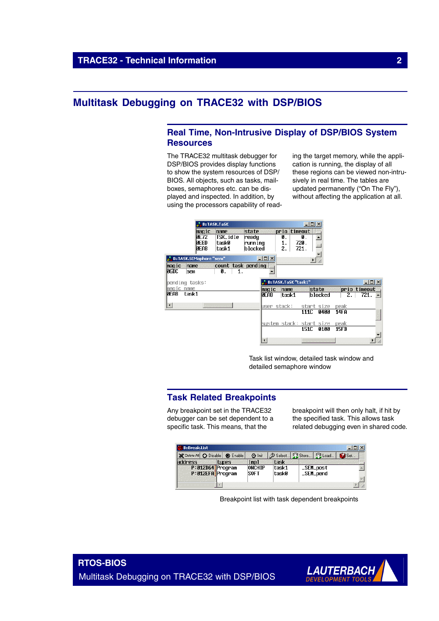# **Multitask Debugging on TRACE32 with DSP/BIOS**

# **Real Time, Non-Intrusive Display of DSP/BIOS System Resources**

The TRACE32 multitask debugger for DSP/BIOS provides display functions to show the system resources of DSP/ BIOS. All objects, such as tasks, mailboxes, semaphores etc. can be displayed and inspected. In addition, by using the processors capability of read-

ing the target memory, while the application is running, the display of all these regions can be viewed non-intrusively in real time. The tables are updated permanently ("On The Fly"), without affecting the application at all.



Task list window, detailed task window and detailed semaphore window

### **Task Related Breakpoints**

Any breakpoint set in the TRACE32 debugger can be set dependent to a specific task. This means, that the

breakpoint will then only halt, if hit by the specified task. This allows task related debugging even in shared code.



Breakpoint list with task dependent breakpoints

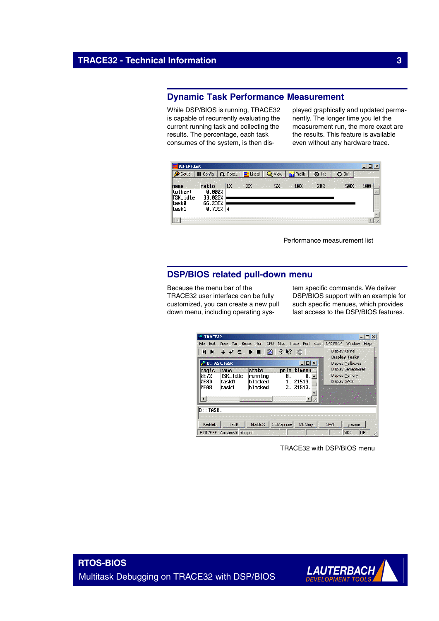# **Dynamic Task Performance Measurement**

While DSP/BIOS is running, TRACE32 is capable of recurrently evaluating the current running task and collecting the results. The percentage, each task consumes of the system, is then displayed graphically and updated permanently. The longer time you let the measurement run, the more exact are the results. This feature is available even without any hardware trace.

| <b>B::PERF.List</b>                |                              |        |               |      |                        |               |         | $ \Box$ $\times$ |
|------------------------------------|------------------------------|--------|---------------|------|------------------------|---------------|---------|------------------|
| Setup.                             | <b>N</b> Config              | Q Goto | List all<br>黶 | View | <b>Hilling</b> Profile | <b>O</b> Init | $O$ Off |                  |
| name                               | ratio                        | 17     | 27.           | 5%   | 10 <sub>l</sub>        | 20/           | 50%     | 100              |
| $ $ (other)<br> TSK_idle<br> task0 | 0.000%<br>33.022%<br>66.238% |        |               |      |                        |               |         |                  |
| ltask1                             | 0.739% $ $                   |        |               |      |                        |               |         |                  |
|                                    |                              |        |               |      |                        |               |         |                  |

Performance measurement list

# **DSP/BIOS related pull-down menu**

Because the menu bar of the TRACE32 user interface can be fully customized, you can create a new pull down menu, including operating system specific commands. We deliver DSP/BIOS support with an example for such specific menues, which provides fast access to the DSP/BIOS features.

| Edit<br>File                                       | View<br>Var                        | <b>Break</b><br>CPU<br>Run.             | <b>Misc</b><br>Trace                                        | Perf                             | DSP/BIOS<br>Cov | Window                                               | Help |
|----------------------------------------------------|------------------------------------|-----------------------------------------|-------------------------------------------------------------|----------------------------------|-----------------|------------------------------------------------------|------|
| HН<br><b>B:TASK.TaSK</b>                           | $\downarrow$ del                   | $ \Box$ $\times$                        | Display Kernel<br><b>Display Tasks</b><br>Display Mailboxes |                                  |                 |                                                      |      |
| maqic<br><b>PF72</b><br><b>DERD</b><br><b>DEAB</b> | name<br>TSK_idle<br>taskØ<br>task1 | state<br>running<br>h Incked<br>blocked | prio<br>и<br>2.                                             | timeou<br>Й.<br>21513.<br>21513. |                 | Display Semaphores<br>Display Memory<br>Display SWIs |      |
|                                                    |                                    |                                         |                                                             |                                  |                 |                                                      |      |
| $\overline{\mathbb{B}^{\dots}}$ task .             |                                    |                                         |                                                             |                                  |                 |                                                      |      |
| KerNeL                                             | TaSK                               | MailBoX                                 | SEMaphore                                                   | MEMory                           | SWI             | previous                                             |      |

TRACE32 with DSP/BIOS menu

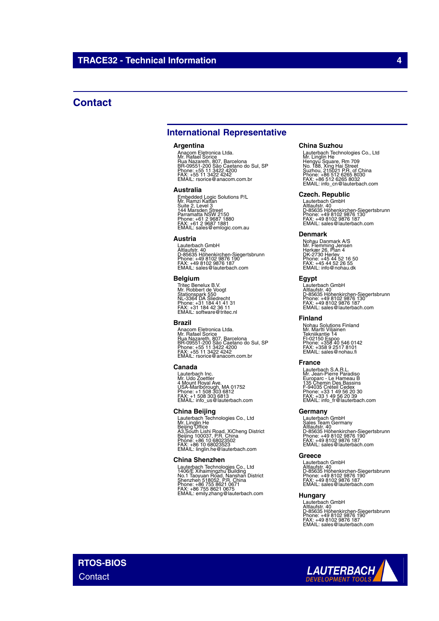# **Contact**

## **International Representative**

#### **Argentina**

Anacom Eletronica Ltda.<br>Mr. Rafael Sorice<br>Rua Nazareth, 807, Barcelona<br>BR-09551-200 São Caetano do Sul, SP<br>Phone: +55 11 3422 4242<br>FAX: +55 11 3422 4242<br>EMAIL: rsorice@anacom.com.br

#### **Australia**

Embedded Logic Solutions P/L<br>Mr. Ramzi Kattan<br>Suite 2, Level 3<br>Parramatta NSW 2150<br>Parramatta NSW 2150<br>Phone: +61 2 9687 1880<br>FMAIL: sales@emlogic.com.au

#### **Austria**

Lauterbach GmbH<br>Altlaufstr. 40<br>D-85635 Höhenkirchen-Siegertsbrunn<br>Phone: +49 8102 9876 187<br>FAX: +49 8102 9876 187<br>EMAIL: sales@lauterbach.com

#### **Belgium**

Tritec Benelux B.V. Mr. Robbert de Voogt Stationspark 550 NL-3364 DA Sliedrecht Phone: +31 184 41 41 31 FAX: +31 184 42 36 11 EMAIL: software@tritec.nl

#### **Brazil**

Anacom Eletronica Ltda.<br>Mr. Rafael Sorice<br>Rua Nazareth, 807, Barcelona<br>BR-09551-200 São Caetano do Sul, SP<br>Phone: +55 11 3422 4242<br>FAX: +55 11 3422 4242<br>EMAIL: rsorice@anacom.com.br

#### **Canada**

Lauterbach Inc. Mr. Udo Zoettler 4 Mount Royal Ave. USA-Marlborough, MA 01752 Phone: +1 508 303 6812 FAX: +1 508 303 6813 EMAIL: info\_us@lauterbach.com

#### **China Beijing**

Lauterbach Technologies Co., Ltd<br>Mr. Linglin He<br>Beijing Office<br>A3,South Lishi Road, XiCheng District<br>Beijing 100037, P.R. China<br>Phone: +86 10 68023523<br>EMAIL: linglin.he@lauterbach.com

#### **China Shenzhen**

Lauterbach Technologies Co., Ltd<br>1406/E Xihaimingzhu Building<br>No.1 Taoyuan Road, Nanshan District<br>Shenzhen 518052, P.R. China<br>Phone: +86 755 8621 0675<br>FAX: +86 755 8621 0675<br>EMAIL: emily.zhang@lauterbach.com

#### **China Suzhou**

Lauterbach Technologies Co., Ltd<br>Mr. Linglin He<br>Hengyu Square, Rm 709<br>Suzhou, 215021 P.R. of China<br>Suzhou, 215021 P.R. of China<br>Phone: +86 512 6265 8030<br>FMAIL: info\_cn@lauterbach.com

#### **Czech. Republic**

Lauterbach GmbH<br>Altlaufstr. 40<br>D-85635 Höhenkirchen-Siegertsbrunn<br>Phone: +49 8102 9876 187<br>FAX: +49 8102 9876 187<br>EMAIL: sales@lauterbach.com

#### **Denmark**

Nohau Danmark A/S<br>Mr. Flemming Jensen<br>Hørkær 26, Plan 4<br>DK-2730 Herlev<br>Phone: +45 44 52 16 50<br>FAX: +45 44 52 26 55<br>EMAIL: info@nohau.dk

#### **Egypt**

Lauterbach GmbH<br>Altlaufstr. 40<br>D-85635 Höhenkirchen-Siegertsbrunn<br>Phone: +49 8102 9876 187<br>FAX: +49 8102 9876 187<br>EMAIL: sales@lauterbach.com

#### **Finland**

Nohau Solutions Finland Mr. Martti Viljainen Tekniikantie 14 FI-02150 Espoo Phone: +358 40 546 0142 FAX: +358 9 2517 8101 EMAIL: sales@nohau.fi

#### **France**

Lauterbach S.A.R.L.<br>Mr. Jean-Pierre Paradiso<br>Europarc - Le Hameau B<br>135 Chemin Des Bassins<br>F-94035 Créteil Cedex<br>Phone: +33 1 49 56 20 30<br>EMAIL: info\_fr@lauterbach.com<br>EMAIL: info\_fr@lauterbach.com

#### **Germany**

Lauterbach GmbH<br>Sales Team Germany<br>Altlaufstr. 40<br>D-85635 Höhenkirchen-Siegertsbrunn<br>Phone: +49 8102 9876 187<br>FAX: +49 8102 9876 187<br>EMAIL: sales@lauterbach.com

#### **Greece**

Lauterbach GmbH Altlaufstr. 40 D-85635 Höhenkirchen-Siegertsbrunn Phone: +49 8102 9876 190 FAX: +49 8102 9876 187 EMAIL: sales@lauterbach.com

### **Hungary**

Lauterbach GmbH<br>Altlaufstr. 40<br>D-85635 Höhenkirchen-Siegertsbrunn<br>Phone: +49 8102 9876 187<br>FAX: +49 8102 9876 187<br>EMAIL: sales@lauterbach.com

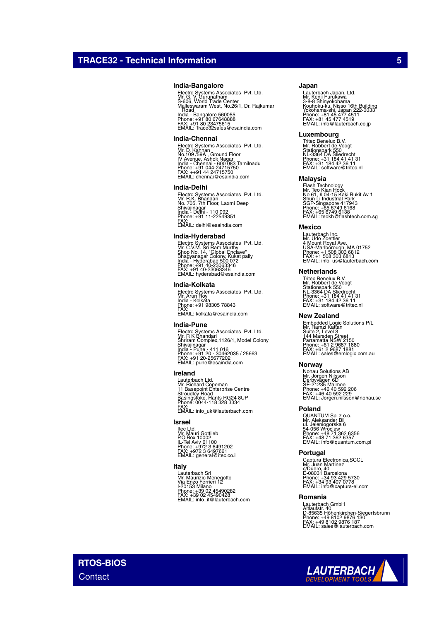#### **India-Bangalore**

Electro Systems Associates Pvt. Ltd.<br>Mr. G. V. Gurunatham<br>Malleswaram West, No.26/1, Dr. Rajkumar<br>Malleswaram West, No.26/1, Dr. Rajkumar<br>. Road India - Bangalore 560055 Phone: +91 80 67648888 FAX: +91 80 23475615 EMAIL: Trace32sales@esaindia.com

#### **India-Chennai**

Electro Systems Associates Pvt. Ltd.<br>Mr. D. Kannan<br>IV Avenue, Ashok Nagar<br>India - Chennai - 600 083 Tamilnadu<br>India - Chennai - 600 083 Tamilnadu<br>Phone: +91 044-24715750<br>EMAIL: chennai@esaindia.com

#### **India-Delhi**

Electro Systems Associates Pvt. Ltd.<br>Mr. R.K. Bhandari<br>Shivajinagar<br>Shivajinagar<br>India - Delhi - 110 092<br>Phone: +91 11-22549351<br>FMAIL: delhi@esaindia.com

#### **India-Hyderabad**

Electro Systems Associates Pvt. Ltd.<br>Mr. C.V.M. Sri Ram Murthy<br>Shop No. 14, "Global Enclave"<br>India - Hyderabad 500 072<br>India - Hyderabad 500 072<br>Phone: +91 40-23063346<br>EMAIL: hyderabad@esaindia.com

#### **India-Kolkata**

Electro Systems Associates Pvt. Ltd. Mr. Arun Roy India - Kolkata Phone: +91 98305 78843 FAX: EMAIL: kolkata@esaindia.com

#### **India-Pune**

Electro Systems Associates Pvt. Ltd.<br>Mr. R K Bhandari<br>Shrivajinagar<br>Shivajinagar<br>India - Pune - 411 016<br>Phone: +91 20 - 30462035 / 25663<br>PAX: +91 20 -25677202<br>EMAIL: pune@esaindia.com

### **Ireland**

Lauterbach Ltd. Mr. Richard Copeman 11 Basepoint Enterprise Centre Stroudley Road Basingstoke, Hants RG24 8UP Phone: 0044-118 328 3334 FAX: EMAIL: info\_uk@lauterbach.com

#### **Israel**

ltec Ltd.<br>Mr. Mauri Gottlieb<br>P.O.Box 10002<br>IL-Tel Aviv 61100<br>Phone: +972 3 6497661<br>FMAIL: general@itec.co.il

### **Italy**

Lauterbach Srl Mr. Maurizio Menegotto Via Enzo Ferrieri 12 I-20153 Milano Phone: +39 02 45490282 FAX: +39 02 45490428 EMAIL: info\_it@lauterbach.com

#### **Japan**

Lauterbach Japan, Ltd.<br>3-8-8 Shinyokohama<br>X-8-8 Shinyokohama<br>Yokohama-shi, Japan 222-0033<br>Yokohama-shi, Japan 222-0033<br>Phone: +81 45 477 4519<br>EMAIL: info@lauterbach.co.jp

#### **Luxembourg**

Tritec Benelux B.V. Mr. Robbert de Voogt Stationspark 550 NL-3364 DA Sliedrecht Phone: +31 184 41 41 31 FAX: +31 184 42 36 11 EMAIL: software@tritec.nl

#### **Malaysia**

Flash Technology<br>Mr. Teo Kian Hock<br>No 61, # 04-15 Kaki Bukit Av 1<br>Shun Li Industrial Park<br>SGP-Singapore 417943<br>Phone: +65 6749 6138<br>PMAIL: teokh@flashtech.com.sg<br>EMAIL: teokh@flashtech.com.sg

#### **Mexico**

Lauterbach Inc. Mr. Udo Zoettler 4 Mount Royal Ave. USA-Marlborough, MA 01752 Phone: +1 508 303 6812 FAX: +1 508 303 6813 EMAIL: info\_us@lauterbach.com

#### **Netherlands**

Tritec Benelux B.V. Mr. Robbert de Voogt Stationspark 550 NL-3364 DA Sliedrecht Phone: +31 184 41 41 31 FAX: +31 184 42 36 11 EMAIL: software@tritec.nl

#### **New Zealand**

Embedded Logic Solutions P/L<br>Mr. Ramzi Kattan<br>Suite 2, Level 3<br>Parramatta NSW 2150<br>Parramatta NSW 2150<br>Phone: +61 2 9687 1880<br>Phone: +61 2 9687 1881<br>EMAIL: sales@emlogic.com.au

#### **Norway**

Nohau Solutions AB<br>Mr. Jörgen Nilsson<br>Derbyvägen 6D<br>SE-21235 Malmoe<br>Phone: +46 40 592 2206<br>FAX: +46-40 592 229<br>EMAIL: Jorgen.nilsson@nohau.se

#### **Poland**

QUANTUM Sp. z o.o.<br>Mr. Aleksander Bil<br>ul. Jeleniogorska 6<br>54-056 Wroclaw<br>Phone: +48 71 362 6357<br>FAX: +48 71 362 6357<br>EMAIL: info@quantum.com.pl

#### **Portugal**

Captura Electronica,SCCL<br>Mr. Juan Martinez<br>c/Duero, 40<br>E-08031 Barcelona<br>Phone: +34 93 407 0778<br>FAX: +34 93 407 0778<br>EMAIL: info@captura-el.com

#### **Romania**

Lauterbach GmbH<br>Altlaufstr. 40<br>D-85635 Höhenkirchen-Siegertsbrunn<br>Phone: +49 8102 9876 187<br>FAX: +49 8102 9876 187<br>EMAIL: sales@lauterbach.com

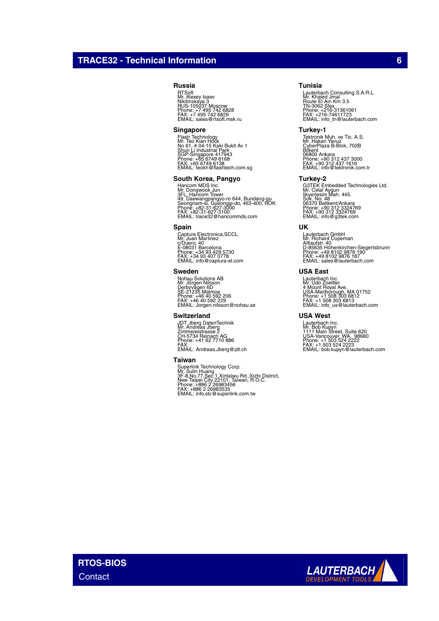## **TRACE32 - Technical Information 6**

#### **Russia**

RTSoft Mr. Alexey Isaev Nikitinskaya 3 RUS-105037 Moscow Phone: +7 495 742 6828 FAX: +7 495 742 6829 EMAIL: sales@rtsoft.msk.ru

#### **Singapore**

Flash Technology<br>Mr. Teo Kian Hock<br>No 61, # 04-15 Kaki Bukit Av 1<br>Shun Li Industrial Park<br>SGP-Singapore 417943<br>Phone: +65 6749 6138<br>FMAIL: teokh@flashtech.com.sg<br>EMAIL: teokh@flashtech.com.sg

#### **South Korea, Pangyo**

Hancom MDS Inc.<br>Mr. Dongwook Jun<br>3FL. Hancom Tower<br>Seongnam-si, Gyeonggi-do, 463-400, ROK<br>Seongnam-si, Gyeonggi-do, 463-400, ROK<br>Phone: +82-31-627-3100<br>EMAIL: trace32@hancommds.com

#### **Spain**

Captura Electronica,SCCL Mr. Juan Martinez c/Duero, 40 E-08031 Barcelona Phone: +34 93 429 5730 FAX: +34 93 407 0778 EMAIL: info@captura-el.com

#### **Sweden**

Nohau Solutions AB<br>Mr. Jörgen Nilsson<br>Derbyvägen 6D<br>SE-21235 Malmoe<br>Phone: +46 40 592 2206<br>FAX: +46 40 592 229<br>EMAIL: Jorgen.nilsson@nohau.se

#### **Switzerland**

JDT Jberg DatenTechnik Mr. Andreas Jberg Zimmereistrasse 2 CH-5734 Reinach AG Phone: +41 62 7710 886 FAX: EMAIL: Andreas.Jberg@jdt.ch

#### **Taiwan**

Superlink Technology Corp.<br>Mr. Sulin Huang<br>3F-8,No.77,Sec.1,Xintaiwu Rd.,Xizhi District,<br>New Taipei City 22101, Taiwan, R.O.C.<br>Phone: +886 2 26983535<br>FAX: +886 2 26983535<br>EMAIL: info.stc@superlink.com.tw

#### **Tunisia**

Lauterbach Consulting S.A.R.L.<br>Mr. Khaled Jmal<br>Route El Ain Km 3.5<br>TN-3062 Sfax<br>Phone: +216-31361061<br>FMX: -216-74611723<br>EMAIL: info\_tn@lauterbach.com

#### **Turkey-1**

Tektronik Muh. ve Tic. A.S.<br>Mr. Hakan Yavuz<br>Bilkent<br>OrberPlaza B-Blok, 702B<br>06800 Ankara<br>Phone: +90 312 437 3000<br>Phone: +90 312 437 1616<br>EMAIL: info@tektronik.com.tr

#### **Turkey-2**

G3TEK Embedded Technologies Ltd. Mr. Celal Aygun Ilkyerlesim Mah. 445. Sok. No: 48 06370 Batikent/Ankara Phone: +90 312 3324769 FAX: +90 312 3324769 EMAIL: info@g3tek.com

#### **UK**

Lauterbach GmbH Mr. Richard Copeman Altlaufstr. 40 D-85635 Höhenkirchen-Siegertsbrunn Phone: +49 8102 9876 190 FAX: +49 8102 9876 187 EMAIL: sales@lauterbach.com

#### **USA East**

Lauterbach Inc. Mr. Udo Zoettler 4 Mount Royal Ave. USA-Marlborough, MA 01752 Phone: +1 508 303 6812 FAX: +1 508 303 6813 EMAIL: info\_us@lauterbach.com

#### **USA West**

Lauterbach Inc.<br>Mr. Bob Kupyn<br>1111 Main Street, Suite 620<br>USA-Vancouver, WA. 98660<br>Phone: +1 503 524 2222<br>FAX: +1 503 524 2223<br>EMAIL: bob.kupyn@lauterbach.com

**RTOS-BIOS Contact** 

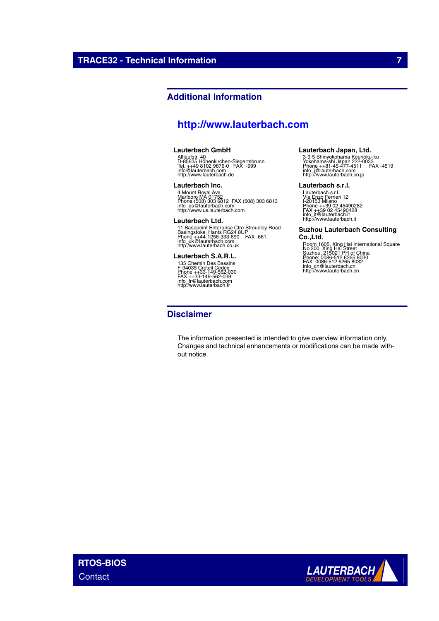# **Additional Information**

# **<http://www.lauterbach.com>**

### **Lauterbach GmbH**

Altlaufstr. 40 D-85635 Höhenkirchen-Siegertsbrunn Tel. ++49 8102 9876-0 FAX -999 info@lauterbach.com http://www.lauterbach.de

#### **Lauterbach Inc.**

4 Mount Royal Ave.<br>Marlboro MA 01752<br>Phone (508) 303 6812 FAX (508) 303 6813<br>intp://www.us.lauterbach.com<br>http://www.us.lauterbach.com

#### **Lauterbach Ltd.**

11 Basepoint Enterprise Ctre Stroudley Road<br>Basingstoke, Hants RG24 8UP<br>Phone ++44-1256-333-690 FAX -661<br>info\_uk@lauterbach.co.uk<br>http:/www.lauterbach.co.uk

### **Lauterbach S.A.R.L.**

135 Chemin Des Bassins F-94035 Créteil Cedex Phone ++33-149-562-030 FAX ++33-149-562-039 info\_fr@lauterbach.com http:/www.lauterbach.fr

### **Disclaimer**

#### The information presented is intended to give overview information only. Changes and technical enhancements or modifications can be made without notice.

**Lauterbach Japan, Ltd.**

3-9-5 Shinyokohama Kouhoku-ku Yokohama-shi Japan 222-0033 Phone ++81-45-477-4511 FAX -4519 info\_j@lauterbach.com http://www.lauterbach.co.jp

#### **Lauterbach s.r.l.**

Lauterbach s.r.l.<br>Via Enzo Ferrieri 12<br>I-20153 Milano<br>Phone ++39 02 45490282<br>FAX ++39 02 45490428<br>info\_it@lauterbach.it http://www.lauterbach.it

### **Suzhou Lauterbach Consulting**

**Co.,Ltd.** Room 1605, Xing Hai International Square No.200, Xing Hai Street Suzhou, 215021 PR of China Phone: 0086-512 6265 8030 FAX: 0086-512 6265 8032 info\_cn@lauterbach.cn http://www.lauterbach.cn

**RTOS-BIOS Contact**